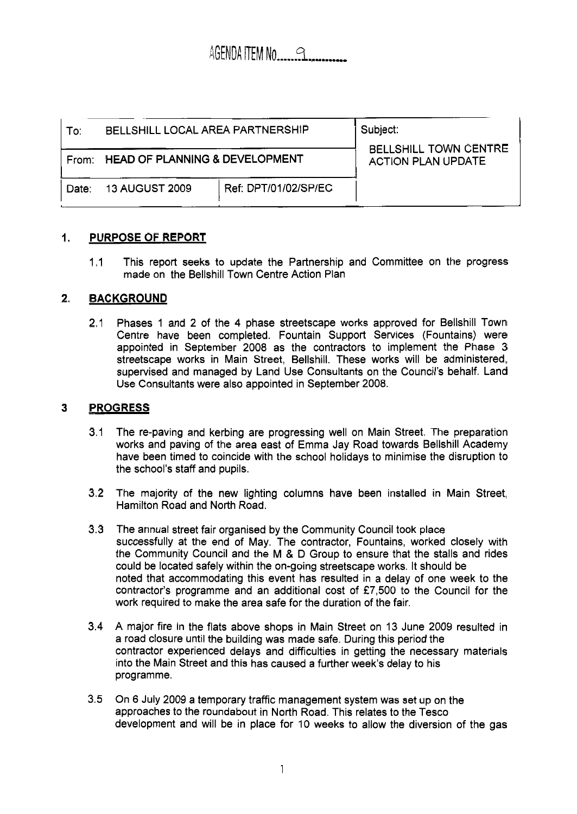| To∶   | BELLSHILL LOCAL AREA PARTNERSHIP     |                      | Subject:<br>BELLSHILL TOWN CENTRE<br><b>ACTION PLAN UPDATE</b> |
|-------|--------------------------------------|----------------------|----------------------------------------------------------------|
|       | From: HEAD OF PLANNING & DEVELOPMENT |                      |                                                                |
| Date: | 13 AUGUST 2009                       | Ref: DPT/01/02/SP/EC |                                                                |

## **1. PURPOSE OF REPORT**

1.1 This report seeks to update the Partnership and Committee on the progress made on the Bellshill Town Centre Action Plan

## **2. BACKGROUND**

2.1 Phases 1 and 2 of the 4 phase streetscape works approved for Bellshill Town Centre have been completed. Fountain Support Services (Fountains) were appointed in September 2008 as the contractors to implement the Phase 3 streetscape works in Main Street, Bellshill. These works will be administered, supervised and managed by Land Use Consultants on the Council's behalf. Land Use Consultants were also appointed in September 2008.

# **3 PROGRESS**

- 3.1 The re-paving and kerbing are progressing well on Main Street. The preparation works and paving of the area east of Emma Jay Road towards Bellshill Academy have been timed to coincide with the school holidays to minimise the disruption to the school's staff and pupils.
- 3.2 The majority of the new lighting columns have been installed in Main Street, Hamilton Road and North Road.
- **3.3** The annual street fair organised by the Community Council took place successfully at the end of May. The contractor, Fountains, worked closely with the Community Council and the M & D Group to ensure that the stalls and rides could be located safely within the on-going streetscape works. It should be noted that accommodating this event has resulted in a delay of one week to the contractor's programme and an additional cost of £7,500 to the Council for the work required to make the area safe for the duration of the fair.
- 3.4 A major fire in the flats above shops in Main Street on 13 June 2009 resulted in a road closure until the building was made safe. During this period the contractor experienced delays and difficulties in getting the necessary materials into the Main Street and this has caused a further week's delay to his programme.
- 3.5 On **6** July 2009 a temporary traffic management system was set up on the approaches to the roundabout in North Road. This relates to the Tesco development and will be in place for 10 weeks to allow the diversion of the gas